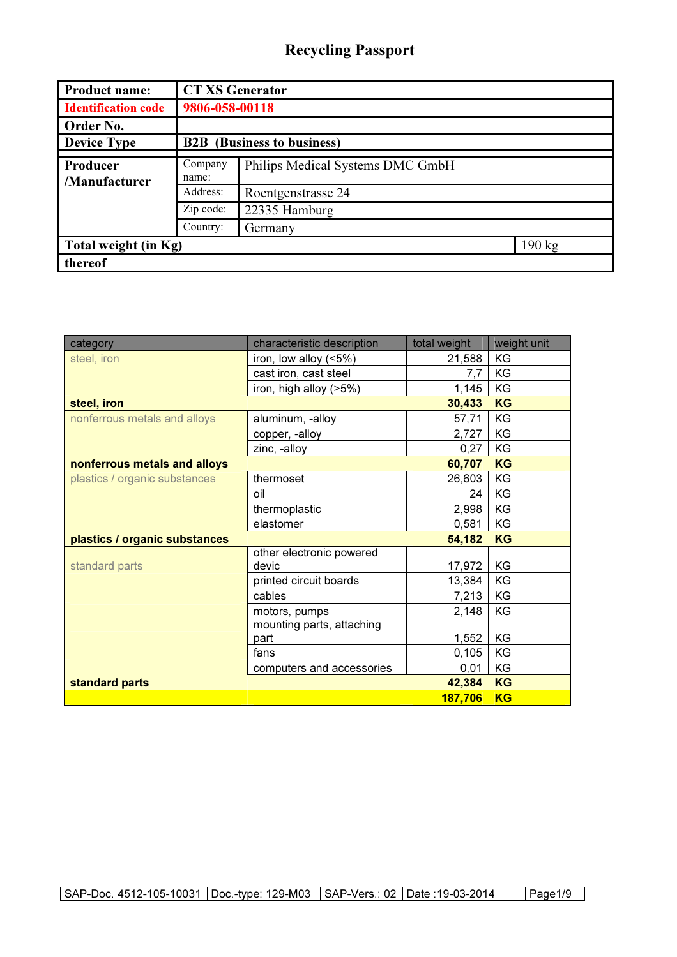| <b>Product name:</b>           | <b>CT XS Generator</b>            |                                  |                  |
|--------------------------------|-----------------------------------|----------------------------------|------------------|
| <b>Identification code</b>     | 9806-058-00118                    |                                  |                  |
| Order No.                      |                                   |                                  |                  |
| <b>Device Type</b>             | <b>B2B</b> (Business to business) |                                  |                  |
| Producer<br>/Manufacturer      | Company<br>name:                  | Philips Medical Systems DMC GmbH |                  |
| Address:<br>Roentgenstrasse 24 |                                   |                                  |                  |
|                                | Zip code:                         | 22335 Hamburg                    |                  |
|                                | Country:                          | Germany                          |                  |
| Total weight (in Kg)           |                                   |                                  | $190 \text{ kg}$ |
| thereof                        |                                   |                                  |                  |

| category                      | characteristic description | total weight | weight unit |
|-------------------------------|----------------------------|--------------|-------------|
| steel, iron                   | iron, low alloy (<5%)      | 21,588       | KG          |
|                               | cast iron, cast steel      | 7,7          | KG          |
|                               | iron, high alloy (>5%)     | 1,145        | KG          |
| steel, iron                   |                            | 30,433       | <b>KG</b>   |
| nonferrous metals and alloys  | aluminum, -alloy           | 57,71        | KG          |
|                               | copper, -alloy             | 2,727        | KG          |
|                               | zinc, -alloy               | 0,27         | KG          |
| nonferrous metals and alloys  |                            | 60,707       | <b>KG</b>   |
| plastics / organic substances | thermoset                  | 26,603       | KG          |
|                               | oil                        | 24           | KG          |
|                               | thermoplastic              | 2,998        | KG          |
|                               | elastomer                  | 0,581        | KG          |
| plastics / organic substances |                            | 54,182       | <b>KG</b>   |
|                               | other electronic powered   |              |             |
| standard parts                | devic                      | 17,972       | KG          |
|                               | printed circuit boards     | 13,384       | KG          |
|                               | cables                     | 7,213        | KG          |
|                               | motors, pumps              | 2,148        | KG          |
|                               | mounting parts, attaching  |              |             |
|                               | part                       | 1,552        | KG          |
|                               | fans                       | 0,105        | KG          |
|                               | computers and accessories  | 0,01         | KG          |
| standard parts                |                            | 42,384       | <b>KG</b>   |
|                               |                            | 187,706      | <b>KG</b>   |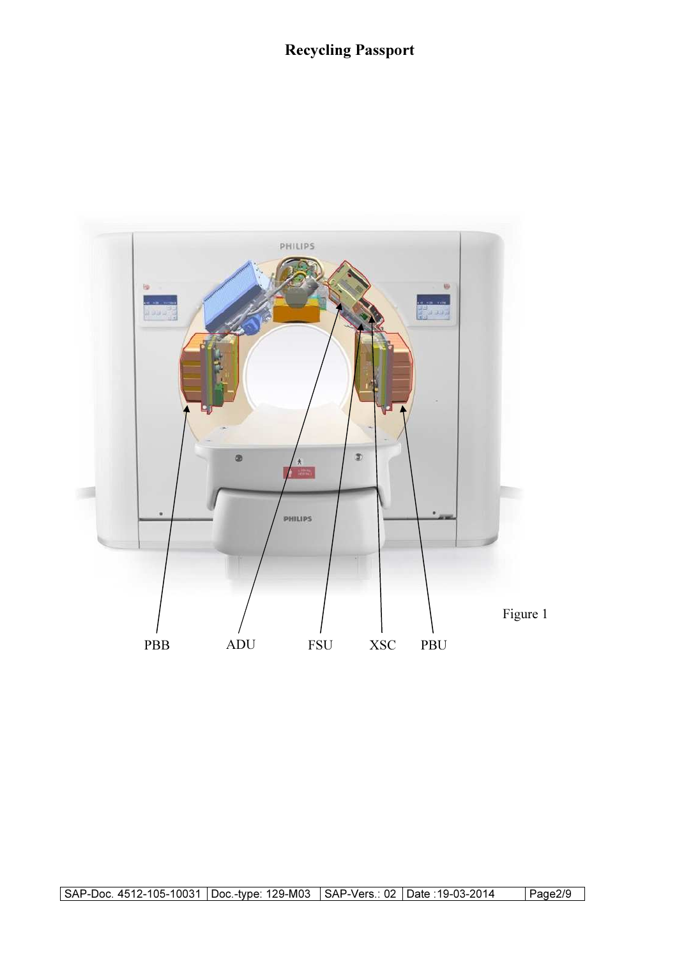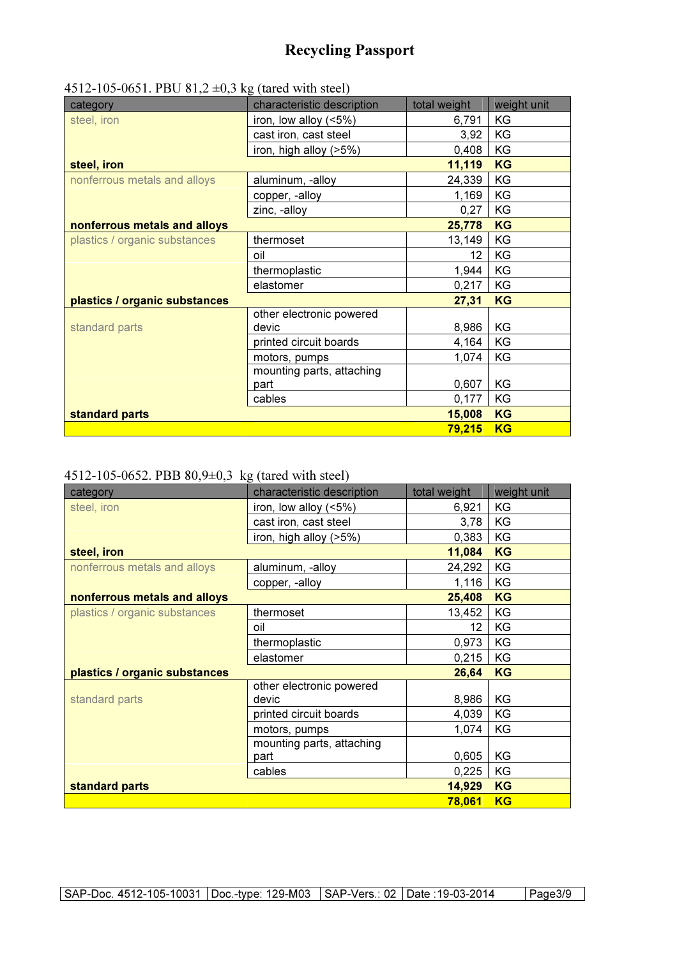| category                      | characteristic description | total weight | weight unit |
|-------------------------------|----------------------------|--------------|-------------|
| steel, iron                   | iron, low alloy $(5%)$     | 6,791        | KG          |
|                               | cast iron, cast steel      | 3,92         | KG          |
|                               | iron, high alloy (>5%)     | 0,408        | KG          |
| steel, iron                   |                            | 11,119       | <b>KG</b>   |
| nonferrous metals and alloys  | aluminum, -alloy           | 24,339       | KG          |
|                               | copper, -alloy             | 1,169        | KG          |
|                               | zinc, -alloy               | 0,27         | KG          |
| nonferrous metals and alloys  |                            | 25,778       | KG          |
| plastics / organic substances | thermoset                  | 13,149       | KG          |
|                               | oil                        | 12           | KG          |
|                               | thermoplastic              | 1,944        | KG          |
|                               | elastomer                  | 0,217        | KG          |
| plastics / organic substances |                            | 27,31        | <b>KG</b>   |
|                               | other electronic powered   |              |             |
| standard parts                | devic                      | 8,986        | KG          |
|                               | printed circuit boards     | 4,164        | KG          |
|                               | motors, pumps              | 1,074        | KG          |
|                               | mounting parts, attaching  |              |             |
|                               | part                       | 0,607        | KG          |
|                               | cables                     | 0,177        | KG          |
| standard parts                |                            | 15,008       | <b>KG</b>   |
|                               |                            | 79,215       | <b>KG</b>   |

#### 4512-105-0651. PBU 81,2  $\pm$ 0,3 kg (tared with steel)

#### 4512-105-0652. PBB 80,9±0,3 kg (tared with steel)

| category                      | characteristic description | total weight | weight unit |
|-------------------------------|----------------------------|--------------|-------------|
| steel, iron                   | iron, low alloy (<5%)      | 6,921        | KG          |
|                               | cast iron, cast steel      | 3,78         | KG          |
|                               | iron, high alloy (>5%)     | 0,383        | KG          |
| steel, iron                   |                            | 11,084       | KG          |
| nonferrous metals and alloys  | aluminum, -alloy           | 24,292       | KG          |
|                               | copper, -alloy             | 1,116        | KG          |
| nonferrous metals and alloys  |                            | 25,408       | KG          |
| plastics / organic substances | thermoset                  | 13,452       | KG          |
|                               | oil                        | 12           | KG          |
|                               | thermoplastic              | 0,973        | KG          |
|                               | elastomer                  | 0,215        | KG          |
| plastics / organic substances |                            | 26,64        | <b>KG</b>   |
|                               | other electronic powered   |              |             |
| standard parts                | devic                      | 8,986        | KG          |
|                               | printed circuit boards     | 4,039        | KG          |
|                               | motors, pumps              | 1,074        | KG          |
|                               | mounting parts, attaching  |              |             |
|                               | part                       | 0,605        | KG          |
|                               | cables                     | 0,225        | KG          |
| standard parts                |                            | 14,929       | <b>KG</b>   |
|                               |                            | 78,061       | <b>KG</b>   |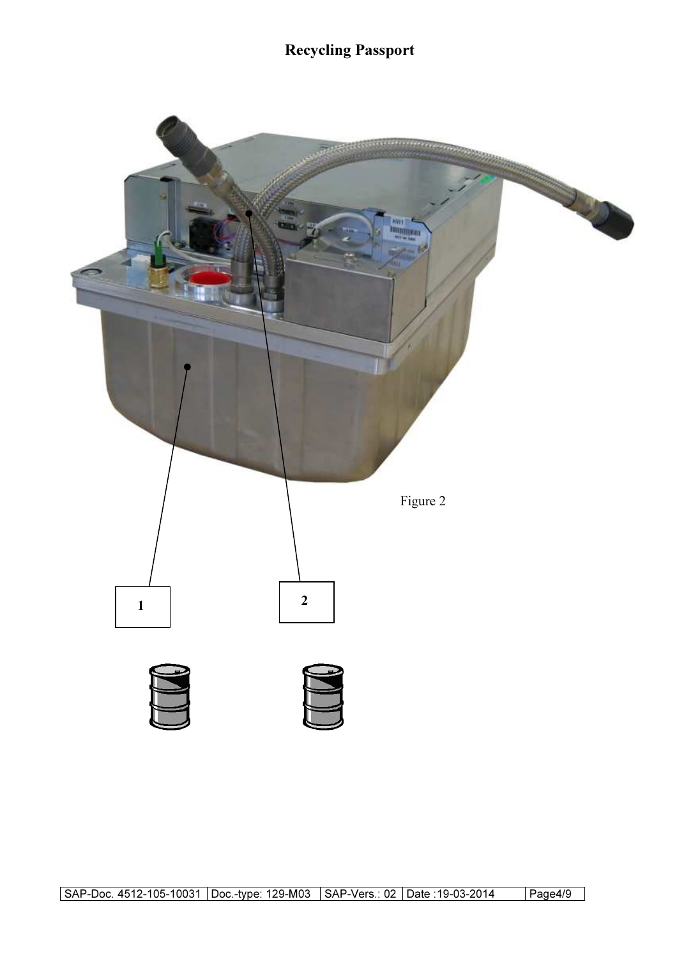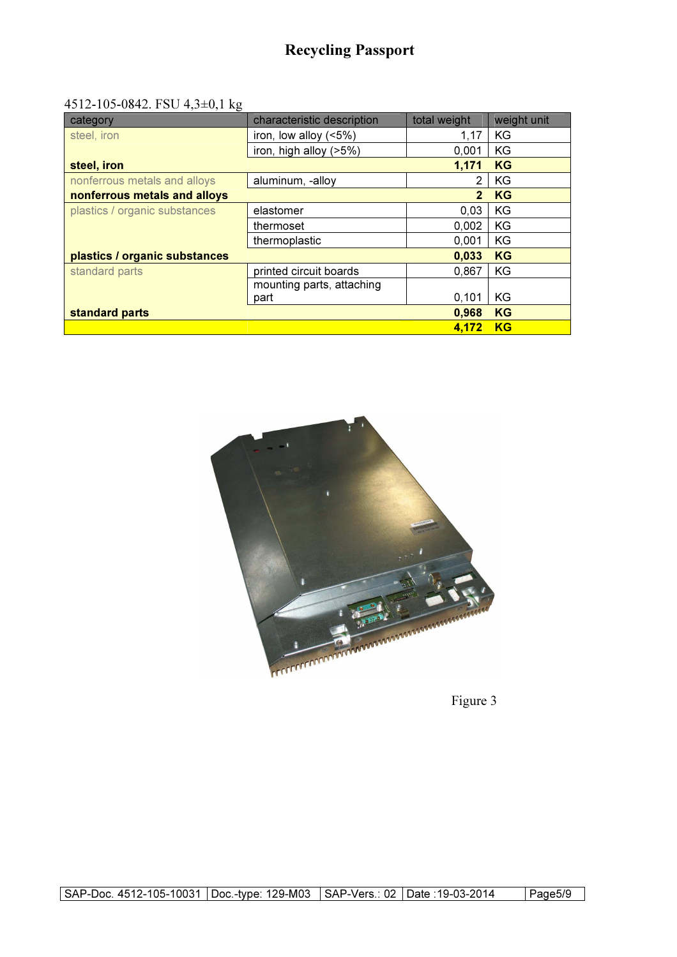#### 4512-105-0842. FSU 4,3±0,1 kg

| category                      | characteristic description | total weight   | weight unit |
|-------------------------------|----------------------------|----------------|-------------|
| steel, iron                   | iron, low alloy (<5%)      | 1,17           | KG          |
|                               | iron, high alloy (>5%)     | 0.001          | KG          |
| steel, iron                   |                            | 1.171          | <b>KG</b>   |
| nonferrous metals and alloys  | aluminum, -alloy           | $\mathfrak{p}$ | KG          |
| nonferrous metals and alloys  |                            | $\mathbf{2}$   | <b>KG</b>   |
| plastics / organic substances | elastomer                  | 0,03           | KG          |
|                               | thermoset                  | 0.002          | KG          |
|                               | thermoplastic              | 0.001          | KG          |
| plastics / organic substances |                            | 0,033          | <b>KG</b>   |
| standard parts                | printed circuit boards     | 0,867          | KG          |
|                               | mounting parts, attaching  |                |             |
|                               | part                       | 0,101          | KG          |
| standard parts                |                            | 0,968          | <b>KG</b>   |
|                               |                            | 4.172          | <b>KG</b>   |



Figure 3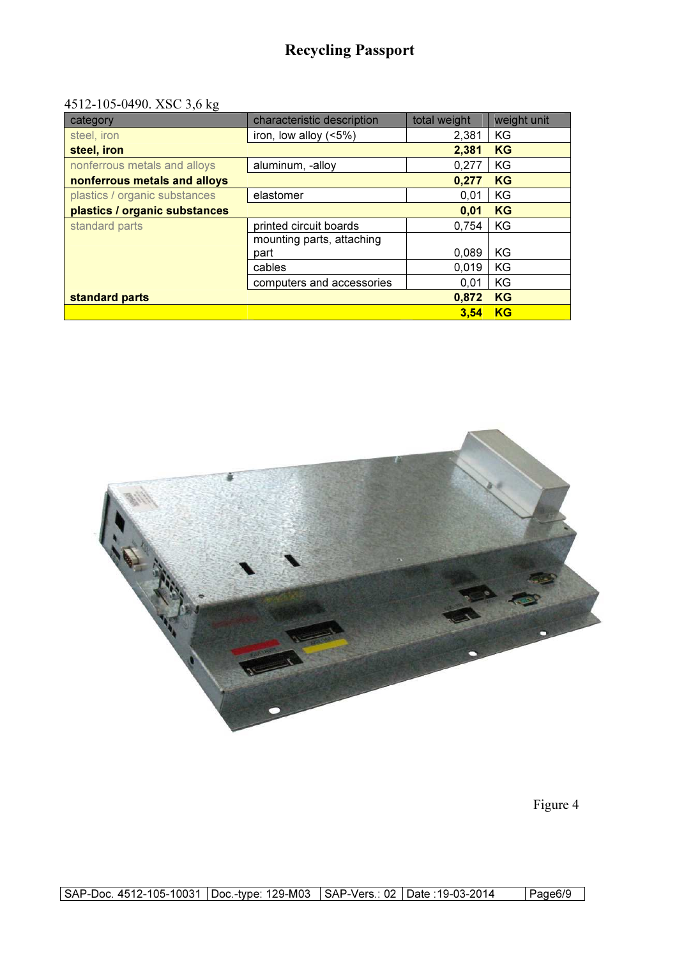#### 4512-105-0490. XSC 3,6 kg

| category                      | characteristic description | total weight | weight unit |
|-------------------------------|----------------------------|--------------|-------------|
| steel, iron                   | iron, low alloy $(5%)$     | 2,381        | KG          |
| steel, iron                   |                            | 2,381        | <b>KG</b>   |
| nonferrous metals and alloys  | aluminum, -alloy           | 0,277        | KG          |
| nonferrous metals and alloys  |                            | 0,277        | <b>KG</b>   |
| plastics / organic substances | elastomer                  | 0.01         | KG          |
| plastics / organic substances |                            | 0,01         | <b>KG</b>   |
| standard parts                | printed circuit boards     | 0.754        | KG          |
|                               | mounting parts, attaching  |              |             |
|                               | part                       | 0.089        | KG          |
|                               | cables                     | 0.019        | KG          |
|                               | computers and accessories  | 0,01         | KG          |
| standard parts                |                            | 0,872        | <b>KG</b>   |
|                               |                            | 3.54         | <b>KG</b>   |



Figure 4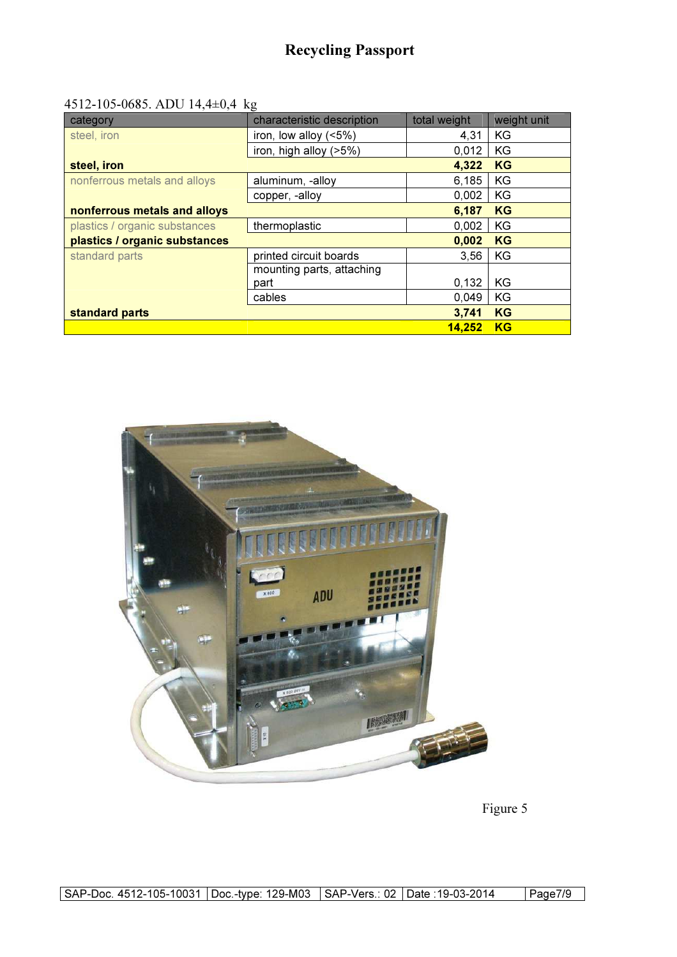#### 4512-105-0685. ADU 14,4±0,4 kg

| category                      | characteristic description | total weight  | weight unit |
|-------------------------------|----------------------------|---------------|-------------|
| steel, iron                   | iron, low alloy $($ < 5%)  | 4,31          | KG          |
|                               | iron, high alloy (>5%)     | 0,012         | KG          |
| steel, iron                   |                            | 4,322         | <b>KG</b>   |
| nonferrous metals and alloys  | aluminum, -alloy           | 6,185         | KG          |
|                               | copper, -alloy             | 0.002         | KG          |
| nonferrous metals and alloys  |                            | 6,187         | <b>KG</b>   |
| plastics / organic substances | thermoplastic              | 0.002         | KG          |
| plastics / organic substances |                            | 0,002         | <b>KG</b>   |
| standard parts                | printed circuit boards     | 3,56          | KG          |
|                               | mounting parts, attaching  |               |             |
|                               | part                       | 0,132         | KG          |
|                               | cables                     | 0,049         | KG          |
| standard parts                |                            | 3,741         | <b>KG</b>   |
|                               |                            | <b>14.252</b> | <b>KG</b>   |



Figure 5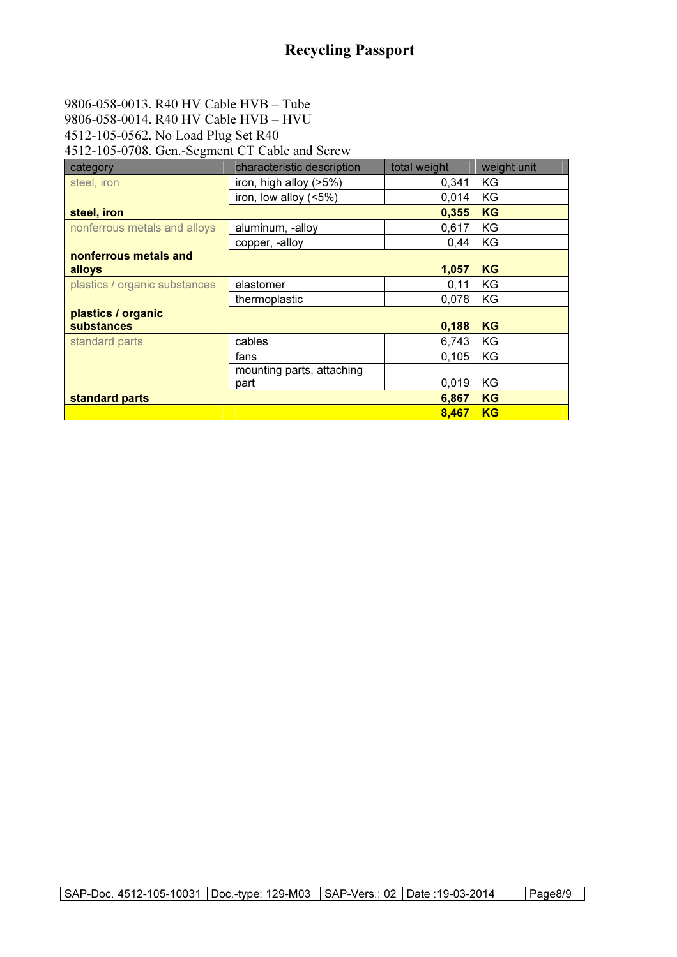### 9806-058-0013. R40 HV Cable HVB – Tube 9806-058-0014. R40 HV Cable HVB – HVU

4512-105-0562. No Load Plug Set R40

4512-105-0708. Gen.-Segment CT Cable and Screw

| category                      | characteristic description | total weight | weight unit |
|-------------------------------|----------------------------|--------------|-------------|
| steel, iron                   | iron, high alloy (>5%)     | 0,341        | ΚG          |
|                               | iron, low alloy $(5\%)$    | 0,014        | KG          |
| steel, iron                   |                            | 0,355        | <b>KG</b>   |
| nonferrous metals and alloys  | aluminum, -alloy           | 0,617        | KG          |
|                               | copper, -alloy             | 0.44         | KG          |
| nonferrous metals and         |                            |              |             |
| alloys                        |                            | 1,057        | <b>KG</b>   |
| plastics / organic substances | elastomer                  | 0,11         | KG          |
|                               | thermoplastic              | 0,078        | KG          |
| plastics / organic            |                            |              |             |
| substances                    |                            | 0,188        | <b>KG</b>   |
| standard parts                | cables                     | 6,743        | KG          |
|                               | fans                       | 0,105        | KG          |
|                               | mounting parts, attaching  |              |             |
|                               | part                       | 0,019        | ΚG          |
| standard parts                |                            | 6,867        | <b>KG</b>   |
|                               |                            | 8.467        | <b>KG</b>   |